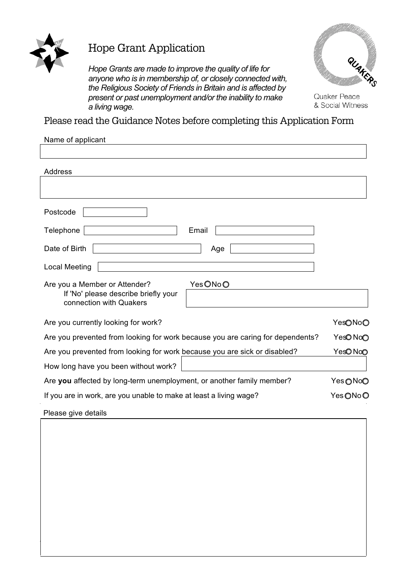

## Hope Grant Application

*Hope Grants are made to improve the quality of life for anyone who is in membership of, or closely connected with, the Religious Society of Friends in Britain and is affected by present or past unemployment and/or the inability to make a living wage.* 



Quaker Peace & Social Witness

Please read the Guidance Notes before completing this Application Form

| Name of applicant                                                                                           |          |
|-------------------------------------------------------------------------------------------------------------|----------|
|                                                                                                             |          |
| Address                                                                                                     |          |
|                                                                                                             |          |
| Postcode                                                                                                    |          |
| Telephone<br>Email                                                                                          |          |
| Date of Birth<br>Age                                                                                        |          |
| <b>Local Meeting</b>                                                                                        |          |
| YesONoO<br>Are you a Member or Attender?<br>If 'No' please describe briefly your<br>connection with Quakers |          |
| Are you currently looking for work?                                                                         | YesONoO  |
| Are you prevented from looking for work because you are caring for dependents?                              | YesONoO  |
| Are you prevented from looking for work because you are sick or disabled?                                   | YesONoO  |
| How long have you been without work?                                                                        |          |
| Are you affected by long-term unemployment, or another family member?                                       | YesONoO  |
| If you are in work, are you unable to make at least a living wage?                                          | Yes ONoO |
| Please give details                                                                                         |          |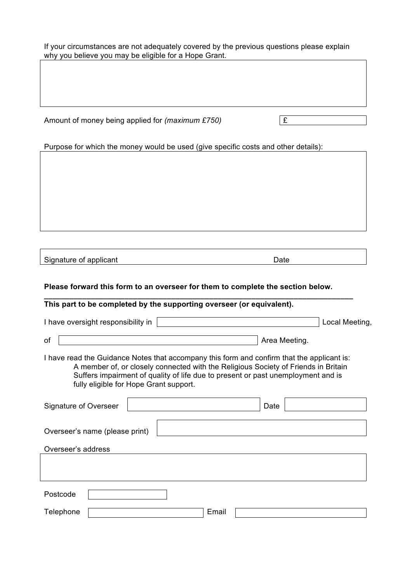If your circumstances are not adequately covered by the previous questions please explain why you believe you may be eligible for a Hope Grant.

Amount of money being applied for  $(maximum \pounds 750)$ 

Purpose for which the money would be used (give specific costs and other details):

Signature of applicant Date Date Date

**Please forward this form to an overseer for them to complete the section below.**

**\_\_\_\_\_\_\_\_\_\_\_\_\_\_\_\_\_\_\_\_\_\_\_\_\_\_\_\_\_\_\_\_\_\_\_\_\_\_\_\_\_\_\_\_\_\_\_\_\_\_\_\_\_\_\_\_\_\_\_\_\_\_\_\_\_\_\_\_\_\_\_\_\_**

| This part to be completed by the supporting overseer (or equivalent).                                                                                                                                                                                                                                          |                |
|----------------------------------------------------------------------------------------------------------------------------------------------------------------------------------------------------------------------------------------------------------------------------------------------------------------|----------------|
| I have oversight responsibility in                                                                                                                                                                                                                                                                             | Local Meeting, |
| οf<br>Area Meeting.                                                                                                                                                                                                                                                                                            |                |
| I have read the Guidance Notes that accompany this form and confirm that the applicant is:<br>A member of, or closely connected with the Religious Society of Friends in Britain<br>Suffers impairment of quality of life due to present or past unemployment and is<br>fully eligible for Hope Grant support. |                |
| Signature of Overseer<br>Date                                                                                                                                                                                                                                                                                  |                |
| Overseer's name (please print)                                                                                                                                                                                                                                                                                 |                |
| Overseer's address                                                                                                                                                                                                                                                                                             |                |
|                                                                                                                                                                                                                                                                                                                |                |
| Postcode                                                                                                                                                                                                                                                                                                       |                |
| Email<br>Telephone                                                                                                                                                                                                                                                                                             |                |